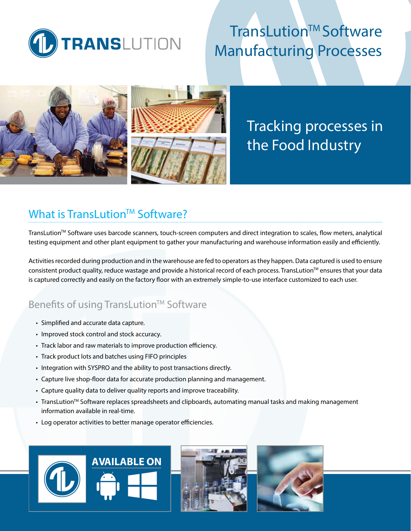

# TransLution™ Software Manufacturing Processes



# Tracking processes in the Food Industry

## What is TransLution<sup>™</sup> Software?

TransLution<sup>™</sup> Software uses barcode scanners, touch-screen computers and direct integration to scales, flow meters, analytical testing equipment and other plant equipment to gather your manufacturing and warehouse information easily and efficiently.

Activities recorded during production and in the warehouse are fed to operators as they happen. Data captured is used to ensure consistent product quality, reduce wastage and provide a historical record of each process. TransLution™ ensures that your data is captured correctly and easily on the factory floor with an extremely simple-to-use interface customized to each user.

### Benefits of using TransLution™ Software

- Simplified and accurate data capture.
- Improved stock control and stock accuracy.
- Track labor and raw materials to improve production efficiency.
- Track product lots and batches using FIFO principles
- Integration with SYSPRO and the ability to post transactions directly.
- Capture live shop-floor data for accurate production planning and management.
- Capture quality data to deliver quality reports and improve traceability.
- TransLution™ Software replaces spreadsheets and clipboards, automating manual tasks and making management information available in real-time.
- Log operator activities to better manage operator efficiencies.

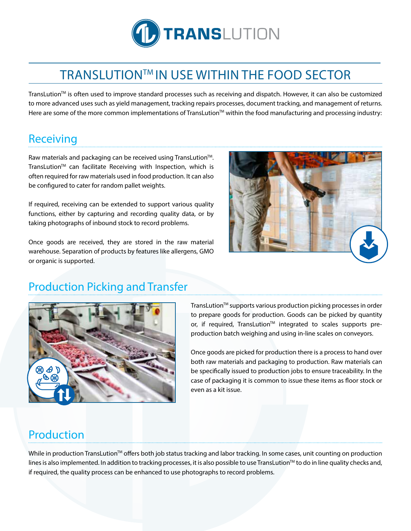

## TRANSLUTIONTM IN USE WITHIN THE FOOD SECTOR

TransLution™ is often used to improve standard processes such as receiving and dispatch. However, it can also be customized to more advanced uses such as yield management, tracking repairs processes, document tracking, and management of returns. Here are some of the more common implementations of TransLution<sup>™</sup> within the food manufacturing and processing industry:

## Receiving

Raw materials and packaging can be received using TransLution™. TransLution<sup>™</sup> can facilitate Receiving with Inspection, which is often required for raw materials used in food production. It can also be configured to cater for random pallet weights.

If required, receiving can be extended to support various quality functions, either by capturing and recording quality data, or by taking photographs of inbound stock to record problems.

Once goods are received, they are stored in the raw material warehouse. Separation of products by features like allergens, GMO or organic is supported.



## Production Picking and Transfer



TransLution™ supports various production picking processes in order to prepare goods for production. Goods can be picked by quantity or, if required, TransLution™ integrated to scales supports preproduction batch weighing and using in-line scales on conveyors.

Once goods are picked for production there is a process to hand over both raw materials and packaging to production. Raw materials can be specifically issued to production jobs to ensure traceability. In the case of packaging it is common to issue these items as floor stock or even as a kit issue.

## Production

While in production TransLution<sup>™</sup> offers both job status tracking and labor tracking. In some cases, unit counting on production lines is also implemented. In addition to tracking processes, it is also possible to use TransLution<sup>TM</sup> to do in line quality checks and, if required, the quality process can be enhanced to use photographs to record problems.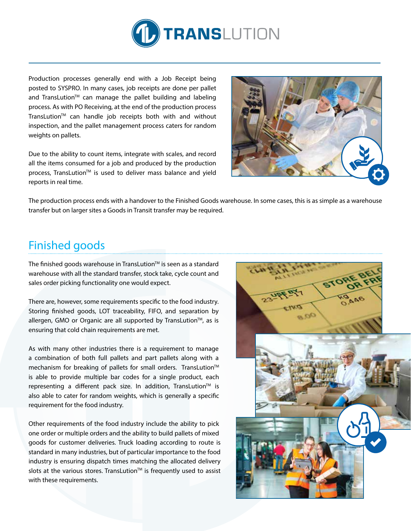

Production processes generally end with a Job Receipt being posted to SYSPRO. In many cases, job receipts are done per pallet and TransLution<sup>™</sup> can manage the pallet building and labeling process. As with PO Receiving, at the end of the production process TransLution<sup>™</sup> can handle job receipts both with and without inspection, and the pallet management process caters for random weights on pallets.

Due to the ability to count items, integrate with scales, and record all the items consumed for a job and produced by the production process, TransLution<sup>™</sup> is used to deliver mass balance and yield reports in real time.



The production process ends with a handover to the Finished Goods warehouse. In some cases, this is as simple as a warehouse transfer but on larger sites a Goods in Transit transfer may be required.

## Finished goods

The finished goods warehouse in TransLution $TM$  is seen as a standard warehouse with all the standard transfer, stock take, cycle count and sales order picking functionality one would expect.

There are, however, some requirements specific to the food industry. Storing finished goods, LOT traceability, FIFO, and separation by allergen, GMO or Organic are all supported by TransLution™, as is ensuring that cold chain requirements are met.

As with many other industries there is a requirement to manage a combination of both full pallets and part pallets along with a mechanism for breaking of pallets for small orders. TransLution™ is able to provide multiple bar codes for a single product, each representing a different pack size. In addition, TransLution™ is also able to cater for random weights, which is generally a specific requirement for the food industry.

Other requirements of the food industry include the ability to pick one order or multiple orders and the ability to build pallets of mixed goods for customer deliveries. Truck loading according to route is standard in many industries, but of particular importance to the food industry is ensuring dispatch times matching the allocated delivery slots at the various stores. TransLution<sup>™</sup> is frequently used to assist with these requirements.